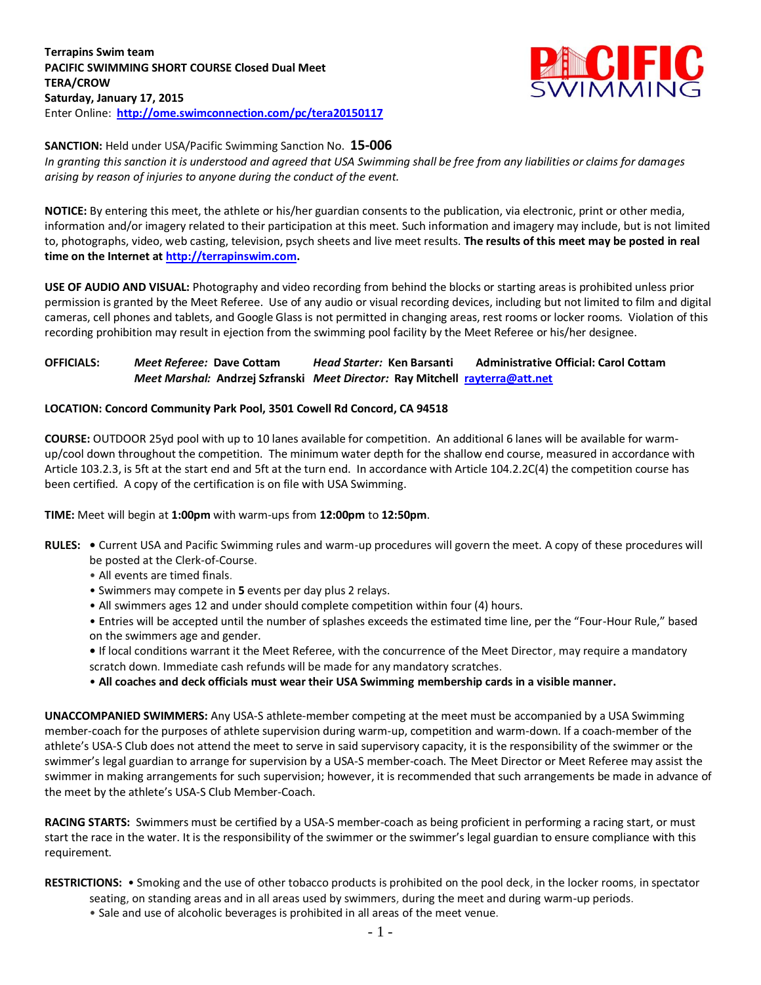

## **SANCTION:** Held under USA/Pacific Swimming Sanction No. **15-006**

*In granting this sanction it is understood and agreed that USA Swimming shall be free from any liabilities or claims for damages arising by reason of injuries to anyone during the conduct of the event.*

**NOTICE:** By entering this meet, the athlete or his/her guardian consents to the publication, via electronic, print or other media, information and/or imagery related to their participation at this meet. Such information and imagery may include, but is not limited to, photographs, video, web casting, television, psych sheets and live meet results. **The results of this meet may be posted in real time on the Internet a[t http://terrapinswim.com.](http://terrapinswim.com/)**

**USE OF AUDIO AND VISUAL:** Photography and video recording from behind the blocks or starting areas is prohibited unless prior permission is granted by the Meet Referee. Use of any audio or visual recording devices, including but not limited to film and digital cameras, cell phones and tablets, and Google Glass is not permitted in changing areas, rest rooms or locker rooms. Violation of this recording prohibition may result in ejection from the swimming pool facility by the Meet Referee or his/her designee.

# **OFFICIALS:** *Meet Referee:* **Dave Cottam** *Head Starter:* **Ken Barsanti Administrative Official: Carol Cottam** *Meet Marshal:* **Andrzej Szfranski** *Meet Director:* **Ray Mitchell [rayterra@att.net](mailto:rayterra@att.net)**

# **LOCATION: Concord Community Park Pool, 3501 Cowell Rd Concord, CA 94518**

**COURSE:** OUTDOOR 25yd pool with up to 10 lanes available for competition. An additional 6 lanes will be available for warmup/cool down throughout the competition. The minimum water depth for the shallow end course, measured in accordance with Article 103.2.3, is 5ft at the start end and 5ft at the turn end. In accordance with Article 104.2.2C(4) the competition course has been certified. A copy of the certification is on file with USA Swimming.

#### **TIME:** Meet will begin at **1:00pm** with warm-ups from **12:00pm** to **12:50pm**.

- **RULES:** Current USA and Pacific Swimming rules and warm-up procedures will govern the meet. A copy of these procedures will be posted at the Clerk-of-Course.
	- All events are timed finals.
	- Swimmers may compete in **5** events per day plus 2 relays.
	- All swimmers ages 12 and under should complete competition within four (4) hours.
	- Entries will be accepted until the number of splashes exceeds the estimated time line, per the "Four-Hour Rule," based on the swimmers age and gender.
	- If local conditions warrant it the Meet Referee, with the concurrence of the Meet Director, may require a mandatory scratch down. Immediate cash refunds will be made for any mandatory scratches.
	- **All coaches and deck officials must wear their USA Swimming membership cards in a visible manner.**

**UNACCOMPANIED SWIMMERS:** Any USA-S athlete-member competing at the meet must be accompanied by a USA Swimming member-coach for the purposes of athlete supervision during warm-up, competition and warm-down. If a coach-member of the athlete's USA-S Club does not attend the meet to serve in said supervisory capacity, it is the responsibility of the swimmer or the swimmer's legal guardian to arrange for supervision by a USA-S member-coach. The Meet Director or Meet Referee may assist the swimmer in making arrangements for such supervision; however, it is recommended that such arrangements be made in advance of the meet by the athlete's USA-S Club Member-Coach.

**RACING STARTS:** Swimmers must be certified by a USA-S member-coach as being proficient in performing a racing start, or must start the race in the water. It is the responsibility of the swimmer or the swimmer's legal guardian to ensure compliance with this requirement.

**RESTRICTIONS:** • Smoking and the use of other tobacco products is prohibited on the pool deck, in the locker rooms, in spectator

- seating, on standing areas and in all areas used by swimmers, during the meet and during warm-up periods.
- Sale and use of alcoholic beverages is prohibited in all areas of the meet venue.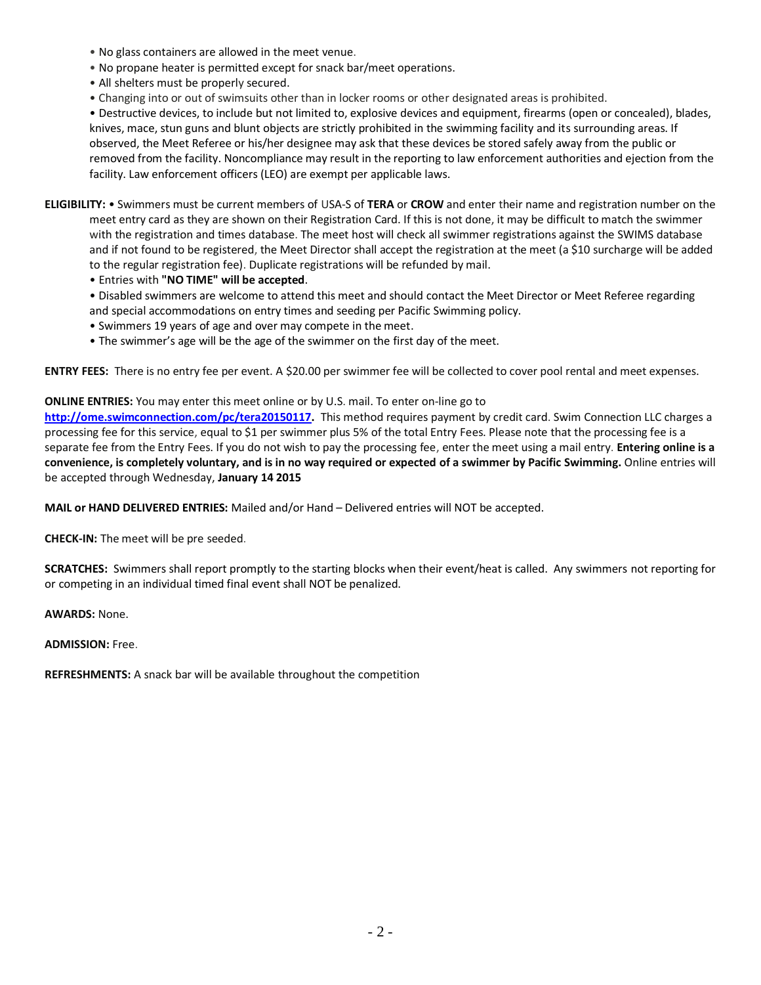- No glass containers are allowed in the meet venue.
- No propane heater is permitted except for snack bar/meet operations.
- All shelters must be properly secured.
- Changing into or out of swimsuits other than in locker rooms or other designated areas is prohibited.

• Destructive devices, to include but not limited to, explosive devices and equipment, firearms (open or concealed), blades, knives, mace, stun guns and blunt objects are strictly prohibited in the swimming facility and its surrounding areas. If observed, the Meet Referee or his/her designee may ask that these devices be stored safely away from the public or removed from the facility. Noncompliance may result in the reporting to law enforcement authorities and ejection from the facility. Law enforcement officers (LEO) are exempt per applicable laws.

**ELIGIBILITY:** • Swimmers must be current members of USA-S of **TERA** or **CROW** and enter their name and registration number on the meet entry card as they are shown on their Registration Card. If this is not done, it may be difficult to match the swimmer with the registration and times database. The meet host will check all swimmer registrations against the SWIMS database and if not found to be registered, the Meet Director shall accept the registration at the meet (a \$10 surcharge will be added to the regular registration fee). Duplicate registrations will be refunded by mail.

• Entries with **"NO TIME" will be accepted**.

• Disabled swimmers are welcome to attend this meet and should contact the Meet Director or Meet Referee regarding and special accommodations on entry times and seeding per Pacific Swimming policy.

- Swimmers 19 years of age and over may compete in the meet.
- The swimmer's age will be the age of the swimmer on the first day of the meet.

**ENTRY FEES:** There is no entry fee per event. A \$20.00 per swimmer fee will be collected to cover pool rental and meet expenses.

## **ONLINE ENTRIES:** You may enter this meet online or by U.S. mail. To enter on-line go to

**[http://ome.swimconnection.com/pc/tera20150117.](http://ome.swimconnection.com/pc/tera20150117)** This method requires payment by credit card. Swim Connection LLC charges a processing fee for this service, equal to \$1 per swimmer plus 5% of the total Entry Fees. Please note that the processing fee is a separate fee from the Entry Fees. If you do not wish to pay the processing fee, enter the meet using a mail entry. **Entering online is a convenience, is completely voluntary, and is in no way required or expected of a swimmer by Pacific Swimming.** Online entries will be accepted through Wednesday, **January 14 2015**

**MAIL or HAND DELIVERED ENTRIES:** Mailed and/or Hand – Delivered entries will NOT be accepted.

**CHECK-IN:** The meet will be pre seeded.

**SCRATCHES:** Swimmers shall report promptly to the starting blocks when their event/heat is called. Any swimmers not reporting for or competing in an individual timed final event shall NOT be penalized.

**AWARDS:** None.

#### **ADMISSION:** Free.

**REFRESHMENTS:** A snack bar will be available throughout the competition